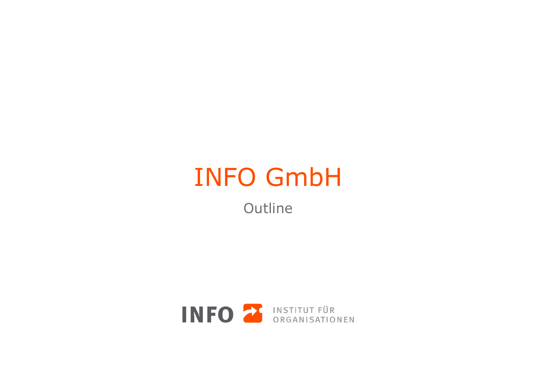## INFO GmbH

**Outline** 

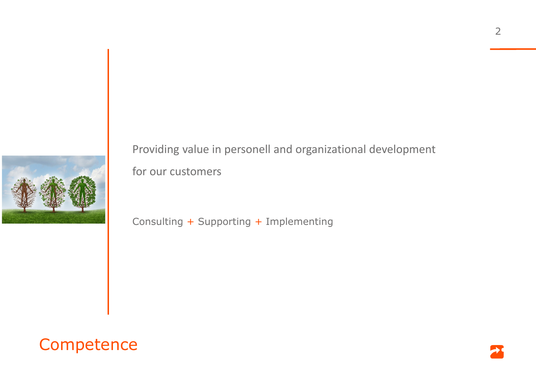

Providing value in personell and organizational development for our customers

Consulting + Supporting + Implementing



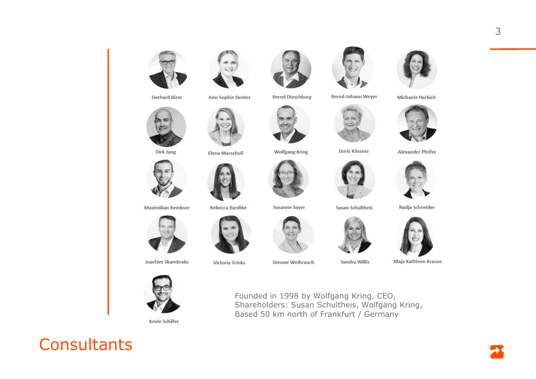

**Gerhard Bizer** 



Ann-Sophie Denter

Elena Marscholl



**Bernd Dieschburg** 

**Wolfgang Kring** 



Bernd-Johann Weyer



Doris Küssner



Susan Schultheis







Maja Kathleen Krause

Michaela Harbich



Alexander Pfeifer



**Maximilian Rembser** 

Dirk Jung



Rebecca Bardtke

Victoria Trinks

**Susanne Sayer** 

Founded in 1998 by Wolfgang Kring, CEO,

Based 50 km north of Frankfurt / Germany

Shareholders: Susan Schultheis, Wolfgang Kring,

Simone Weihrauch



Sandra Willis



Joachim Skambraks

Kevin Schäfer



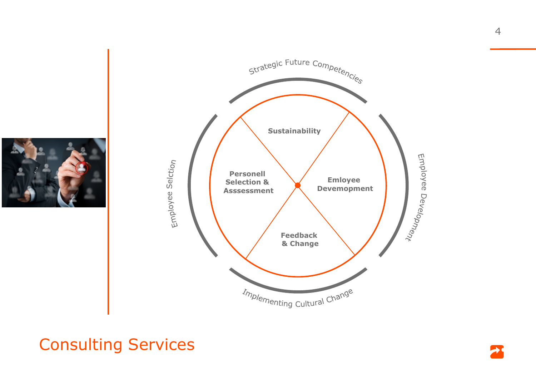



## **Consulting Services**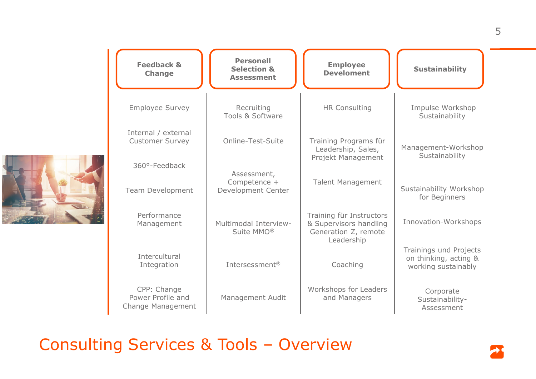

| <b>Feedback &amp;</b><br><b>Change</b>                | <b>Personell</b><br><b>Selection &amp;</b><br><b>Assessment</b> | <b>Employee</b><br><b>Develoment</b>                                       | <b>Sustainability</b>                                                  |
|-------------------------------------------------------|-----------------------------------------------------------------|----------------------------------------------------------------------------|------------------------------------------------------------------------|
| <b>Employee Survey</b>                                | Recruiting<br>Tools & Software                                  | <b>HR Consulting</b>                                                       | Impulse Workshop<br>Sustainability                                     |
| Internal / external<br><b>Customer Survey</b>         | Online-Test-Suite                                               | Training Programs für<br>Leadership, Sales,<br>Projekt Management          | Management-Workshop<br>Sustainability                                  |
| 360°-Feedback<br><b>Team Development</b>              | Assessment,<br>Competence +<br>Development Center               | <b>Talent Management</b>                                                   | Sustainability Workshop<br>for Beginners                               |
| Performance<br>Management                             | Multimodal Interview-<br>Suite MMO <sup>®</sup>                 | Training für Instructors<br>& Supervisors handling<br>Generation Z, remote | Innovation-Workshops                                                   |
| Intercultural<br>Integration                          | Intersessment <sup>®</sup>                                      | Leadership<br>Coaching                                                     | Trainings und Projects<br>on thinking, acting &<br>working sustainably |
| CPP: Change<br>Power Profile and<br>Change Management | Management Audit                                                | Workshops for Leaders<br>and Managers                                      | Corporate<br>Sustainability-<br>Assessment                             |

Consulting Services & Tools – Overview

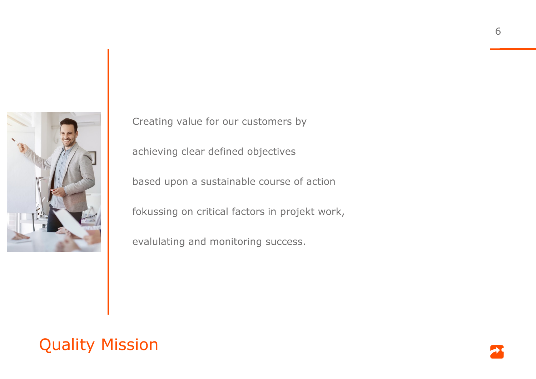

Creating value for our customers by

achieving clear defined objectives

based upon a sustainable course of action

fokussing on critical factors in projekt work,

evalulating and monitoring success.

## Quality Mission

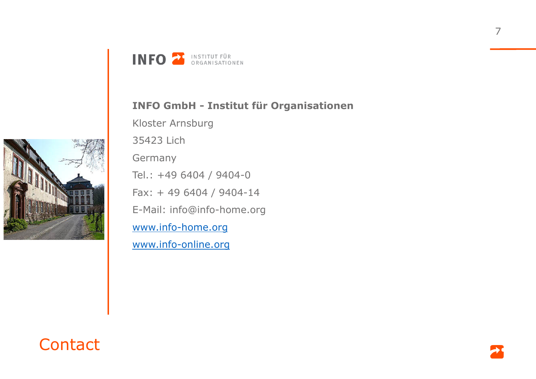



## **INFO GmbH - Institut für Organisationen**

Kloster Arnsburg

35423 Lich

**Germany** 

Tel.: +49 6404 / 9404-0

Fax: + 49 6404 / 9404-14

E-Mail: info@info-home.org

www.info-home.org

www.info-online.org